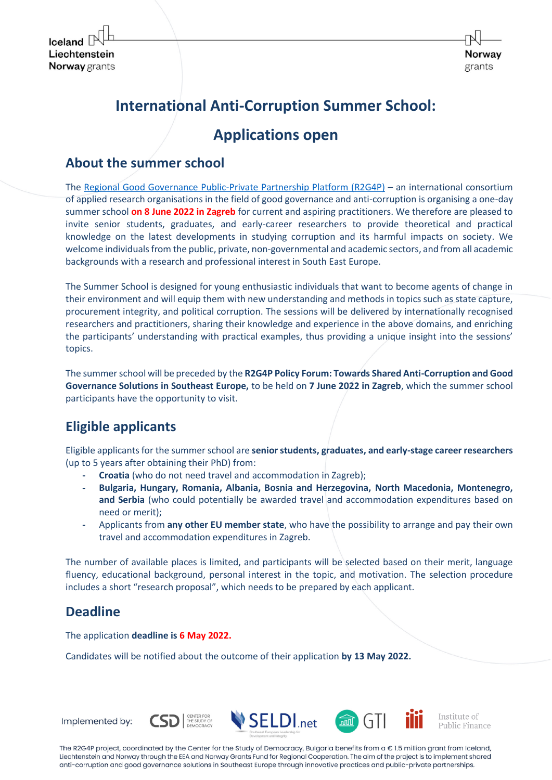

# **International Anti-Corruption Summer School:**

# **Applications open**

#### **About the summer school**

The [Regional Good Governance Public-Private Partnership Platform \(R2G4P\)](https://seldi.net/r2g4platform/objectives/) – an international consortium of applied research organisations in the field of good governance and anti-corruption is organising a one-day summer school **on 8 June 2022 in Zagreb** for current and aspiring practitioners. We therefore are pleased to invite senior students, graduates, and early-career researchers to provide theoretical and practical knowledge on the latest developments in studying corruption and its harmful impacts on society. We welcome individuals from the public, private, non-governmental and academic sectors, and from all academic backgrounds with a research and professional interest in South East Europe.

The Summer School is designed for young enthusiastic individuals that want to become agents of change in their environment and will equip them with new understanding and methods in topics such as state capture, procurement integrity, and political corruption. The sessions will be delivered by internationally recognised researchers and practitioners, sharing their knowledge and experience in the above domains, and enriching the participants' understanding with practical examples, thus providing a unique insight into the sessions' topics.

The summer school will be preceded by the **R2G4P Policy Forum: Towards Shared Anti-Corruption аnd Good Governance Solutions in Southeast Europe,** to be held on **7 June 2022 in Zagreb**, which the summer school participants have the opportunity to visit.

# **Eligible applicants**

Eligible applicants for the summer school are **senior students, graduates, and early-stage career researchers** (up to 5 years after obtaining their PhD) from:

- **- Croatia** (who do not need travel and accommodation in Zagreb);
- **- Bulgaria, Hungary, Romania, Albania, Bosnia and Herzegovina, North Macedonia, Montenegro, and Serbia** (who could potentially be awarded travel and accommodation expenditures based on need or merit);
- **-** Applicants from **any other EU member state**, who have the possibility to arrange and pay their own travel and accommodation expenditures in Zagreb.

The number of available places is limited, and participants will be selected based on their merit, language fluency, educational background, personal interest in the topic, and motivation. The selection procedure includes a short "research proposal", which needs to be prepared by each applicant.

### **Deadline**

The application **deadline is 6 May 2022.**

Candidates will be notified about the outcome of their application **by 13 May 2022.**



The R2G4P project, coordinated by the Center for the Study of Democracy, Bulgaria benefits from a € 1.5 million grant from Iceland, Liechtenstein and Norway through the EEA and Norway Grants Fund for Regional Cooperation. The aim of the project is to implement shared anti-corruption and good governance solutions in Southeast Europe through innovative practices and public-private partnerships.